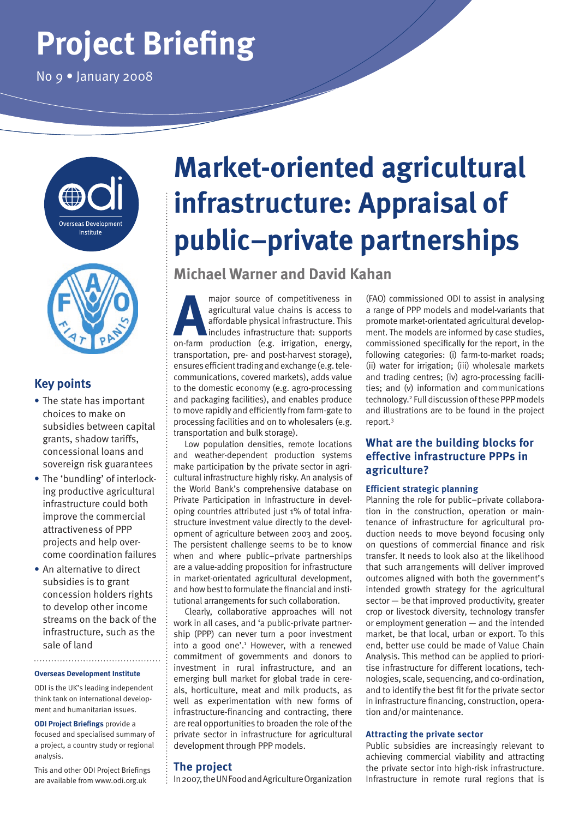# **Project Briefing**

No 9 • January 2008





## **Key points**

- **•** The state has important choices to make on subsidies between capital grants, shadow tariffs, concessional loans and sovereign risk guarantees
- **•** The 'bundling' of interlocking productive agricultural infrastructure could both improve the commercial attractiveness of PPP projects and help overcome coordination failures
- **•** An alternative to direct subsidies is to grant concession holders rights to develop other income streams on the back of the infrastructure, such as the sale of land

#### **Overseas Development Institute**

ODI is the UK's leading independent think tank on international development and humanitarian issues.

**ODI Project Briefings** provide a focused and specialised summary of a project, a country study or regional analysis.

This and other ODI Project Briefings are available from www.odi.org.uk

# **Market-oriented agricultural infrastructure: Appraisal of public–private partnerships**

# **Michael Warner and David Kahan**

**A Propertifiveness in**<br>
agricultural value chains is access to<br>
affordable physical infrastructure. This<br>
includes infrastructure that: supports<br>
on-farm production (e.g. irrigation, energy, agricultural value chains is access to affordable physical infrastructure. This includes infrastructure that: supports transportation, pre- and post-harvest storage), ensures efficient trading and exchange (e.g. telecommunications, covered markets), adds value to the domestic economy (e.g. agro-processing and packaging facilities), and enables produce to move rapidly and efficiently from farm-gate to processing facilities and on to wholesalers (e.g. transportation and bulk storage).

Low population densities, remote locations and weather-dependent production systems make participation by the private sector in agricultural infrastructure highly risky. An analysis of the World Bank's comprehensive database on Private Participation in Infrastructure in developing countries attributed just 1% of total infrastructure investment value directly to the development of agriculture between 2003 and 2005. The persistent challenge seems to be to know when and where public–private partnerships are a value-adding proposition for infrastructure in market-orientated agricultural development, and how best to formulate the financial and institutional arrangements for such collaboration.

Clearly, collaborative approaches will not work in all cases, and 'a public-private partnership (PPP) can never turn a poor investment into a good one'.<sup>1</sup> However, with a renewed commitment of governments and donors to investment in rural infrastructure, and an emerging bull market for global trade in cereals, horticulture, meat and milk products, as well as experimentation with new forms of infrastructure-financing and contracting, there are real opportunities to broaden the role of the private sector in infrastructure for agricultural development through PPP models.

### **The project**

In 2007, the UN Food and Agriculture Organization

(FAO) commissioned ODI to assist in analysing a range of PPP models and model-variants that promote market-orientated agricultural development. The models are informed by case studies, commissioned specifically for the report, in the following categories: (i) farm-to-market roads; (ii) water for irrigation; (iii) wholesale markets and trading centres; (iv) agro-processing facilities; and (v) information and communications technology.2 Full discussion of these PPP models and illustrations are to be found in the project report.3

## **What are the building blocks for effective infrastructure PPPs in agriculture?**

### **Efficient strategic planning**

Planning the role for public–private collaboration in the construction, operation or maintenance of infrastructure for agricultural production needs to move beyond focusing only on questions of commercial finance and risk transfer. It needs to look also at the likelihood that such arrangements will deliver improved outcomes aligned with both the government's intended growth strategy for the agricultural sector — be that improved productivity, greater crop or livestock diversity, technology transfer or employment generation — and the intended market, be that local, urban or export. To this end, better use could be made of Value Chain Analysis. This method can be applied to prioritise infrastructure for different locations, technologies, scale, sequencing, and co-ordination, and to identify the best fit for the private sector in infrastructure financing, construction, operation and/or maintenance.

#### **Attracting the private sector**

Public subsidies are increasingly relevant to achieving commercial viability and attracting the private sector into high-risk infrastructure. Infrastructure in remote rural regions that is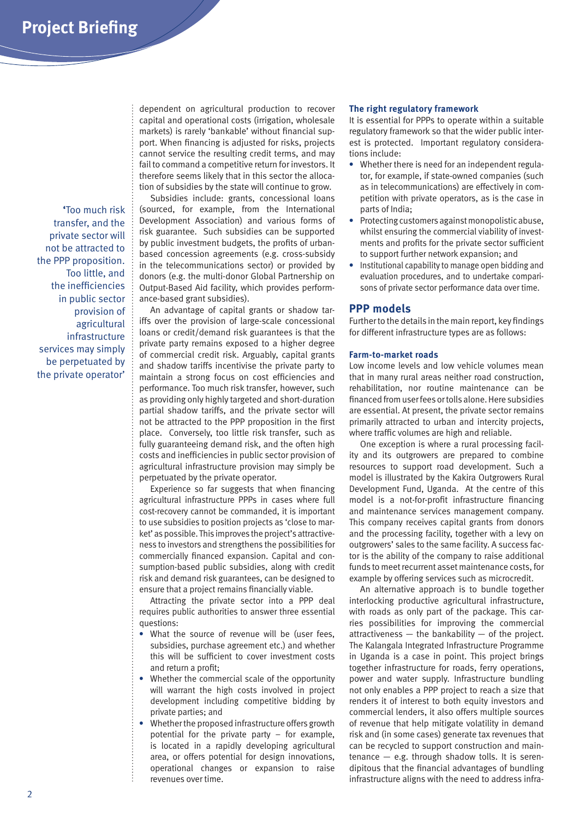**'**Too much risk transfer, and the private sector will not be attracted to the PPP proposition. Too little, and the inefficiencies in public sector provision of agricultural infrastructure services may simply be perpetuated by the private operator'

dependent on agricultural production to recover capital and operational costs (irrigation, wholesale markets) is rarely 'bankable' without financial support. When financing is adjusted for risks, projects cannot service the resulting credit terms, and may fail to command a competitive return for investors. It therefore seems likely that in this sector the allocation of subsidies by the state will continue to grow.

Subsidies include: grants, concessional loans (sourced, for example, from the International Development Association) and various forms of risk guarantee. Such subsidies can be supported by public investment budgets, the profits of urbanbased concession agreements (e.g. cross-subsidy in the telecommunications sector) or provided by donors (e.g. the multi-donor Global Partnership on Output-Based Aid facility, which provides performance-based grant subsidies).

An advantage of capital grants or shadow tariffs over the provision of large-scale concessional loans or credit/demand risk guarantees is that the private party remains exposed to a higher degree of commercial credit risk. Arguably, capital grants and shadow tariffs incentivise the private party to maintain a strong focus on cost efficiencies and performance. Too much risk transfer, however, such as providing only highly targeted and short-duration partial shadow tariffs, and the private sector will not be attracted to the PPP proposition in the first place. Conversely, too little risk transfer, such as fully guaranteeing demand risk, and the often high costs and inefficiencies in public sector provision of agricultural infrastructure provision may simply be perpetuated by the private operator.

Experience so far suggests that when financing agricultural infrastructure PPPs in cases where full cost-recovery cannot be commanded, it is important to use subsidies to position projects as 'close to market' as possible. This improves the project's attractiveness to investors and strengthens the possibilities for commercially financed expansion. Capital and consumption-based public subsidies, along with credit risk and demand risk guarantees, can be designed to ensure that a project remains financially viable.

Attracting the private sector into a PPP deal requires public authorities to answer three essential questions:

- **•** What the source of revenue will be (user fees, subsidies, purchase agreement etc.) and whether this will be sufficient to cover investment costs and return a profit;
- **•** Whether the commercial scale of the opportunity will warrant the high costs involved in project development including competitive bidding by private parties; and
- **•** Whether the proposed infrastructure offers growth potential for the private party – for example, is located in a rapidly developing agricultural area, or offers potential for design innovations, operational changes or expansion to raise revenues over time.

#### **The right regulatory framework**

It is essential for PPPs to operate within a suitable regulatory framework so that the wider public interest is protected. Important regulatory considerations include:

- **•** Whether there is need for an independent regulator, for example, if state-owned companies (such as in telecommunications) are effectively in competition with private operators, as is the case in parts of India;
- **•** Protecting customers against monopolistic abuse, whilst ensuring the commercial viability of investments and profits for the private sector sufficient to support further network expansion; and
- **•** Institutional capability to manage open bidding and evaluation procedures, and to undertake comparisons of private sector performance data over time.

#### **PPP models**

Further to the details in the main report, key findings for different infrastructure types are as follows:

#### **Farm-to-market roads**

Low income levels and low vehicle volumes mean that in many rural areas neither road construction, rehabilitation, nor routine maintenance can be financed from user fees or tolls alone. Here subsidies are essential. At present, the private sector remains primarily attracted to urban and intercity projects, where traffic volumes are high and reliable.

One exception is where a rural processing facility and its outgrowers are prepared to combine resources to support road development. Such a model is illustrated by the Kakira Outgrowers Rural Development Fund, Uganda. At the centre of this model is a not-for-profit infrastructure financing and maintenance services management company. This company receives capital grants from donors and the processing facility, together with a levy on outgrowers' sales to the same facility. A success factor is the ability of the company to raise additional funds to meet recurrent asset maintenance costs, for example by offering services such as microcredit.

An alternative approach is to bundle together interlocking productive agricultural infrastructure, with roads as only part of the package. This carries possibilities for improving the commercial attractiveness  $-$  the bankability  $-$  of the project. The Kalangala Integrated Infrastructure Programme in Uganda is a case in point. This project brings together infrastructure for roads, ferry operations, power and water supply. Infrastructure bundling not only enables a PPP project to reach a size that renders it of interest to both equity investors and commercial lenders, it also offers multiple sources of revenue that help mitigate volatility in demand risk and (in some cases) generate tax revenues that can be recycled to support construction and main $t$ enance  $-$  e.g. through shadow tolls. It is serendipitous that the financial advantages of bundling infrastructure aligns with the need to address infra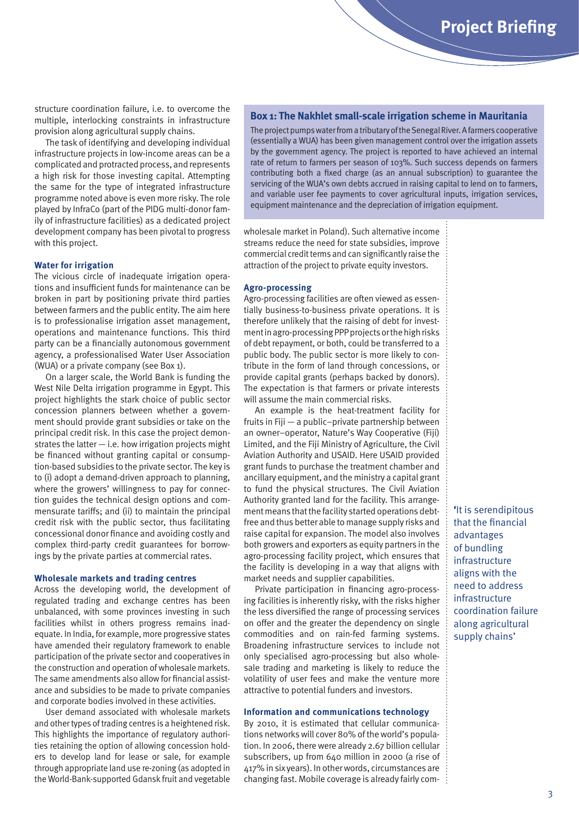structure coordination failure, i.e. to overcome the multiple, interlocking constraints in infrastructure provision along agricultural supply chains.

The task of identifying and developing individual infrastructure projects in low-income areas can be a complicated and protracted process, and represents a high risk for those investing capital. Attempting the same for the type of integrated infrastructure programme noted above is even more risky. The role played by InfraCo (part of the PIDG multi-donor family of infrastructure facilities) as a dedicated project development company has been pivotal to progress with this project.

#### **Water for irrigation**

The vicious circle of inadequate irrigation operations and insufficient funds for maintenance can be broken in part by positioning private third parties between farmers and the public entity. The aim here is to professionalise irrigation asset management, operations and maintenance functions. This third party can be a financially autonomous government agency, a professionalised Water User Association (WUA) or a private company (see Box 1).

On a larger scale, the World Bank is funding the West Nile Delta irrigation programme in Egypt. This project highlights the stark choice of public sector concession planners between whether a government should provide grant subsidies or take on the principal credit risk. In this case the project demonstrates the latter  $-$  i.e. how irrigation projects might be financed without granting capital or consumption-based subsidies to the private sector. The key is to (i) adopt a demand-driven approach to planning, where the growers' willingness to pay for connection guides the technical design options and commensurate tariffs; and (ii) to maintain the principal credit risk with the public sector, thus facilitating concessional donor finance and avoiding costly and complex third-party credit guarantees for borrowings by the private parties at commercial rates.

#### **Wholesale markets and trading centres**

Across the developing world, the development of regulated trading and exchange centres has been unbalanced, with some provinces investing in such facilities whilst in others progress remains inadequate. In India, for example, more progressive states have amended their regulatory framework to enable participation of the private sector and cooperatives in the construction and operation of wholesale markets. The same amendments also allow for financial assistance and subsidies to be made to private companies and corporate bodies involved in these activities.

User demand associated with wholesale markets and other types of trading centres is a heightened risk. This highlights the importance of regulatory authorities retaining the option of allowing concession holders to develop land for lease or sale, for example through appropriate land use re-zoning (as adopted in the World-Bank-supported Gdansk fruit and vegetable

#### **Box 1: The Nakhlet small-scale irrigation scheme in Mauritania**

The project pumps water from a tributary of the Senegal River. A farmers cooperative (essentially a WUA) has been given management control over the irrigation assets by the government agency. The project is reported to have achieved an internal rate of return to farmers per season of 103%. Such success depends on farmers contributing both a fixed charge (as an annual subscription) to guarantee the servicing of the WUA's own debts accrued in raising capital to lend on to farmers, and variable user fee payments to cover agricultural inputs, irrigation services, equipment maintenance and the depreciation of irrigation equipment.

wholesale market in Poland). Such alternative income streams reduce the need for state subsidies, improve commercial credit terms and can significantly raise the attraction of the project to private equity investors.

#### **Agro-processing**

Agro-processing facilities are often viewed as essentially business-to-business private operations. It is therefore unlikely that the raising of debt for investment in agro-processing PPP projects or the high risks of debt repayment, or both, could be transferred to a public body. The public sector is more likely to contribute in the form of land through concessions, or provide capital grants (perhaps backed by donors). The expectation is that farmers or private interests will assume the main commercial risks.

An example is the heat-treatment facility for fruits in Fiji — a public–private partnership between an owner–operator, Nature's Way Cooperative (Fiji) Limited, and the Fiji Ministry of Agriculture, the Civil Aviation Authority and USAID. Here USAID provided grant funds to purchase the treatment chamber and ancillary equipment, and the ministry a capital grant to fund the physical structures. The Civil Aviation Authority granted land for the facility. This arrangement means that the facility started operations debtfree and thus better able to manage supply risks and raise capital for expansion. The model also involves both growers and exporters as equity partners in the agro-processing facility project, which ensures that the facility is developing in a way that aligns with market needs and supplier capabilities.

Private participation in financing agro-processing facilities is inherently risky, with the risks higher the less diversified the range of processing services on offer and the greater the dependency on single commodities and on rain-fed farming systems. Broadening infrastructure services to include not only specialised agro-processing but also wholesale trading and marketing is likely to reduce the volatility of user fees and make the venture more attractive to potential funders and investors.

#### **Information and communications technology**

By 2010, it is estimated that cellular communications networks will cover 80% of the world's population. In 2006, there were already 2.67 billion cellular subscribers, up from 640 million in 2000 (a rise of 417% in six years). In other words, circumstances are changing fast. Mobile coverage is already fairly com**'**It is serendipitous that the financial advantages of bundling infrastructure aligns with the need to address infrastructure coordination failure along agricultural supply chains'